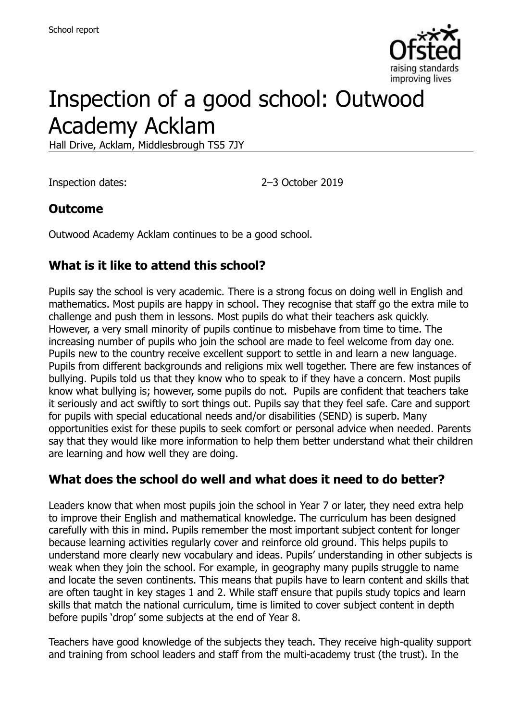

# Inspection of a good school: Outwood Academy Acklam

Hall Drive, Acklam, Middlesbrough TS5 7JY

Inspection dates: 2–3 October 2019

#### **Outcome**

Outwood Academy Acklam continues to be a good school.

## **What is it like to attend this school?**

Pupils say the school is very academic. There is a strong focus on doing well in English and mathematics. Most pupils are happy in school. They recognise that staff go the extra mile to challenge and push them in lessons. Most pupils do what their teachers ask quickly. However, a very small minority of pupils continue to misbehave from time to time. The increasing number of pupils who join the school are made to feel welcome from day one. Pupils new to the country receive excellent support to settle in and learn a new language. Pupils from different backgrounds and religions mix well together. There are few instances of bullying. Pupils told us that they know who to speak to if they have a concern. Most pupils know what bullying is; however, some pupils do not. Pupils are confident that teachers take it seriously and act swiftly to sort things out. Pupils say that they feel safe. Care and support for pupils with special educational needs and/or disabilities (SEND) is superb. Many opportunities exist for these pupils to seek comfort or personal advice when needed. Parents say that they would like more information to help them better understand what their children are learning and how well they are doing.

#### **What does the school do well and what does it need to do better?**

Leaders know that when most pupils join the school in Year 7 or later, they need extra help to improve their English and mathematical knowledge. The curriculum has been designed carefully with this in mind. Pupils remember the most important subject content for longer because learning activities regularly cover and reinforce old ground. This helps pupils to understand more clearly new vocabulary and ideas. Pupils' understanding in other subjects is weak when they join the school. For example, in geography many pupils struggle to name and locate the seven continents. This means that pupils have to learn content and skills that are often taught in key stages 1 and 2. While staff ensure that pupils study topics and learn skills that match the national curriculum, time is limited to cover subject content in depth before pupils 'drop' some subjects at the end of Year 8.

Teachers have good knowledge of the subjects they teach. They receive high-quality support and training from school leaders and staff from the multi-academy trust (the trust). In the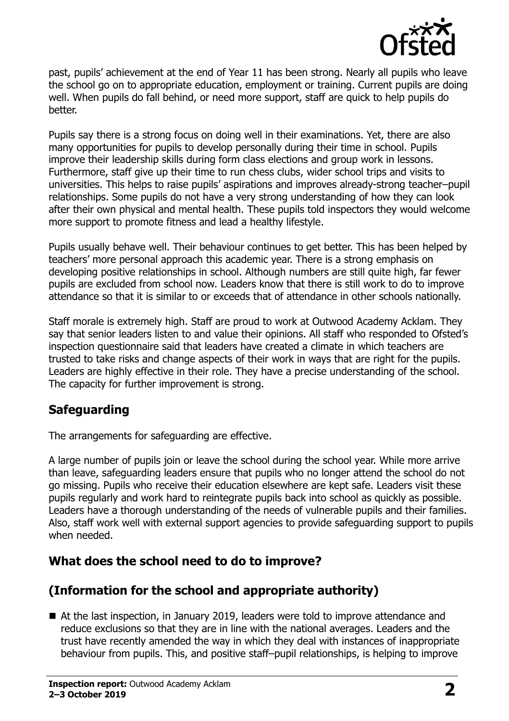

past, pupils' achievement at the end of Year 11 has been strong. Nearly all pupils who leave the school go on to appropriate education, employment or training. Current pupils are doing well. When pupils do fall behind, or need more support, staff are quick to help pupils do better.

Pupils say there is a strong focus on doing well in their examinations. Yet, there are also many opportunities for pupils to develop personally during their time in school. Pupils improve their leadership skills during form class elections and group work in lessons. Furthermore, staff give up their time to run chess clubs, wider school trips and visits to universities. This helps to raise pupils' aspirations and improves already-strong teacher–pupil relationships. Some pupils do not have a very strong understanding of how they can look after their own physical and mental health. These pupils told inspectors they would welcome more support to promote fitness and lead a healthy lifestyle.

Pupils usually behave well. Their behaviour continues to get better. This has been helped by teachers' more personal approach this academic year. There is a strong emphasis on developing positive relationships in school. Although numbers are still quite high, far fewer pupils are excluded from school now. Leaders know that there is still work to do to improve attendance so that it is similar to or exceeds that of attendance in other schools nationally.

Staff morale is extremely high. Staff are proud to work at Outwood Academy Acklam. They say that senior leaders listen to and value their opinions. All staff who responded to Ofsted's inspection questionnaire said that leaders have created a climate in which teachers are trusted to take risks and change aspects of their work in ways that are right for the pupils. Leaders are highly effective in their role. They have a precise understanding of the school. The capacity for further improvement is strong.

## **Safeguarding**

The arrangements for safeguarding are effective.

A large number of pupils join or leave the school during the school year. While more arrive than leave, safeguarding leaders ensure that pupils who no longer attend the school do not go missing. Pupils who receive their education elsewhere are kept safe. Leaders visit these pupils regularly and work hard to reintegrate pupils back into school as quickly as possible. Leaders have a thorough understanding of the needs of vulnerable pupils and their families. Also, staff work well with external support agencies to provide safeguarding support to pupils when needed.

## **What does the school need to do to improve?**

## **(Information for the school and appropriate authority)**

■ At the last inspection, in January 2019, leaders were told to improve attendance and reduce exclusions so that they are in line with the national averages. Leaders and the trust have recently amended the way in which they deal with instances of inappropriate behaviour from pupils. This, and positive staff–pupil relationships, is helping to improve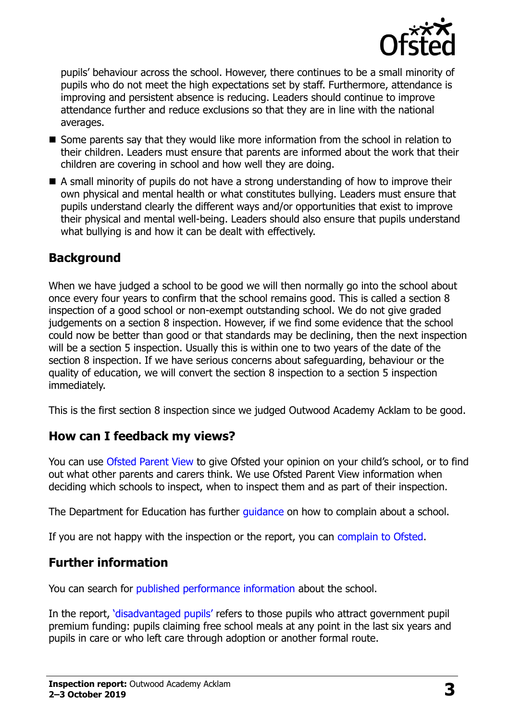

pupils' behaviour across the school. However, there continues to be a small minority of pupils who do not meet the high expectations set by staff. Furthermore, attendance is improving and persistent absence is reducing. Leaders should continue to improve attendance further and reduce exclusions so that they are in line with the national averages.

- Some parents say that they would like more information from the school in relation to their children. Leaders must ensure that parents are informed about the work that their children are covering in school and how well they are doing.
- A small minority of pupils do not have a strong understanding of how to improve their own physical and mental health or what constitutes bullying. Leaders must ensure that pupils understand clearly the different ways and/or opportunities that exist to improve their physical and mental well-being. Leaders should also ensure that pupils understand what bullying is and how it can be dealt with effectively.

#### **Background**

When we have judged a school to be good we will then normally go into the school about once every four years to confirm that the school remains good. This is called a section 8 inspection of a good school or non-exempt outstanding school. We do not give graded judgements on a section 8 inspection. However, if we find some evidence that the school could now be better than good or that standards may be declining, then the next inspection will be a section 5 inspection. Usually this is within one to two years of the date of the section 8 inspection. If we have serious concerns about safeguarding, behaviour or the quality of education, we will convert the section 8 inspection to a section 5 inspection immediately.

This is the first section 8 inspection since we judged Outwood Academy Acklam to be good.

#### **How can I feedback my views?**

You can use [Ofsted Parent View](https://parentview.ofsted.gov.uk/) to give Ofsted your opinion on your child's school, or to find out what other parents and carers think. We use Ofsted Parent View information when deciding which schools to inspect, when to inspect them and as part of their inspection.

The Department for Education has further quidance on how to complain about a school.

If you are not happy with the inspection or the report, you can [complain to Ofsted.](https://www.gov.uk/complain-ofsted-report)

## **Further information**

You can search for [published performance information](http://www.compare-school-performance.service.gov.uk/) about the school.

In the report, '[disadvantaged pupils](http://www.gov.uk/guidance/pupil-premium-information-for-schools-and-alternative-provision-settings)' refers to those pupils who attract government pupil premium funding: pupils claiming free school meals at any point in the last six years and pupils in care or who left care through adoption or another formal route.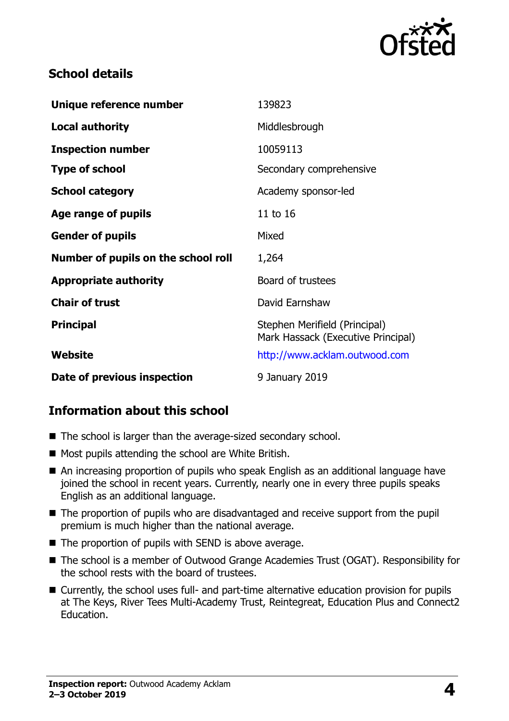

### **School details**

| Unique reference number             | 139823                                                              |
|-------------------------------------|---------------------------------------------------------------------|
| Local authority                     | Middlesbrough                                                       |
| <b>Inspection number</b>            | 10059113                                                            |
| <b>Type of school</b>               | Secondary comprehensive                                             |
| <b>School category</b>              | Academy sponsor-led                                                 |
| Age range of pupils                 | 11 to 16                                                            |
| <b>Gender of pupils</b>             | Mixed                                                               |
| Number of pupils on the school roll | 1,264                                                               |
| <b>Appropriate authority</b>        | Board of trustees                                                   |
| <b>Chair of trust</b>               | David Earnshaw                                                      |
| <b>Principal</b>                    | Stephen Merifield (Principal)<br>Mark Hassack (Executive Principal) |
| Website                             | http://www.acklam.outwood.com                                       |
| Date of previous inspection         | 9 January 2019                                                      |

## **Information about this school**

- The school is larger than the average-sized secondary school.
- Most pupils attending the school are White British.
- An increasing proportion of pupils who speak English as an additional language have joined the school in recent years. Currently, nearly one in every three pupils speaks English as an additional language.
- The proportion of pupils who are disadvantaged and receive support from the pupil premium is much higher than the national average.
- $\blacksquare$  The proportion of pupils with SEND is above average.
- The school is a member of Outwood Grange Academies Trust (OGAT). Responsibility for the school rests with the board of trustees.
- Currently, the school uses full- and part-time alternative education provision for pupils at The Keys, River Tees Multi-Academy Trust, Reintegreat, Education Plus and Connect2 Education.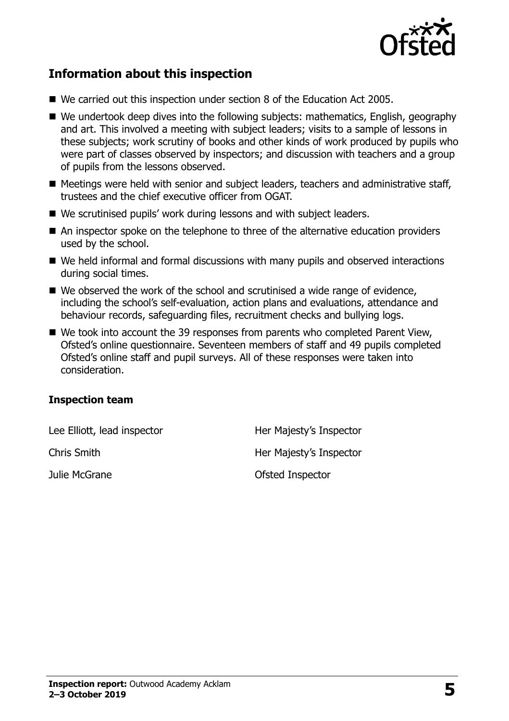

## **Information about this inspection**

- We carried out this inspection under section 8 of the Education Act 2005.
- We undertook deep dives into the following subjects: mathematics, English, geography and art. This involved a meeting with subject leaders; visits to a sample of lessons in these subjects; work scrutiny of books and other kinds of work produced by pupils who were part of classes observed by inspectors; and discussion with teachers and a group of pupils from the lessons observed.
- Meetings were held with senior and subject leaders, teachers and administrative staff, trustees and the chief executive officer from OGAT.
- We scrutinised pupils' work during lessons and with subject leaders.
- An inspector spoke on the telephone to three of the alternative education providers used by the school.
- We held informal and formal discussions with many pupils and observed interactions during social times.
- We observed the work of the school and scrutinised a wide range of evidence, including the school's self-evaluation, action plans and evaluations, attendance and behaviour records, safeguarding files, recruitment checks and bullying logs.
- We took into account the 39 responses from parents who completed Parent View, Ofsted's online questionnaire. Seventeen members of staff and 49 pupils completed Ofsted's online staff and pupil surveys. All of these responses were taken into consideration.

#### **Inspection team**

| Lee Elliott, lead inspector | Her Majesty's Inspector |
|-----------------------------|-------------------------|
| <b>Chris Smith</b>          | Her Majesty's Inspector |
| Julie McGrane               | Ofsted Inspector        |